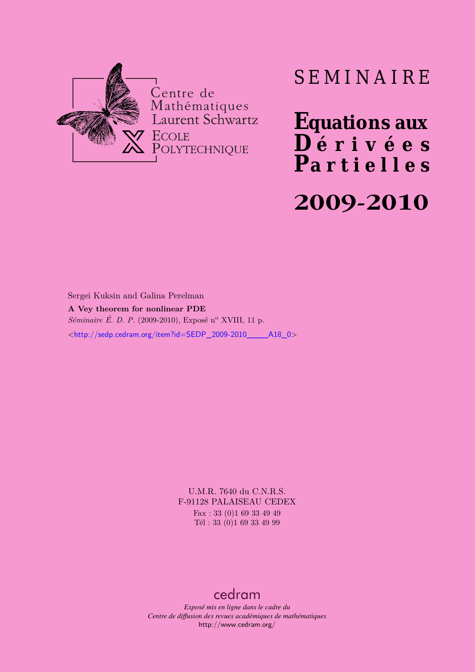

# SEMINAIRE

**Equations aux**  $\overline{\mathbf{D}}$  érivées **Partielles**

# **2009-2010**

Sergei Kuksin and Galina Perelman **A Vey theorem for nonlinear PDE** *Séminaire É. D. P.* (2009-2010), Exposé n<sup>o</sup> XVIII, 11 p. <[http://sedp.cedram.org/item?id=SEDP\\_2009-2010\\_\\_\\_\\_A18\\_0](http://sedp.cedram.org/item?id=SEDP_2009-2010____A18_0)>

> U.M.R. 7640 du C.N.R.S. F-91128 PALAISEAU CEDEX Fax : 33 (0)1 69 33 49 49 Tél : 33 (0)1 69 33 49 99

#### [cedram](http://www.cedram.org/)

*Exposé mis en ligne dans le cadre du Centre de diffusion des revues académiques de mathématiques* <http://www.cedram.org/>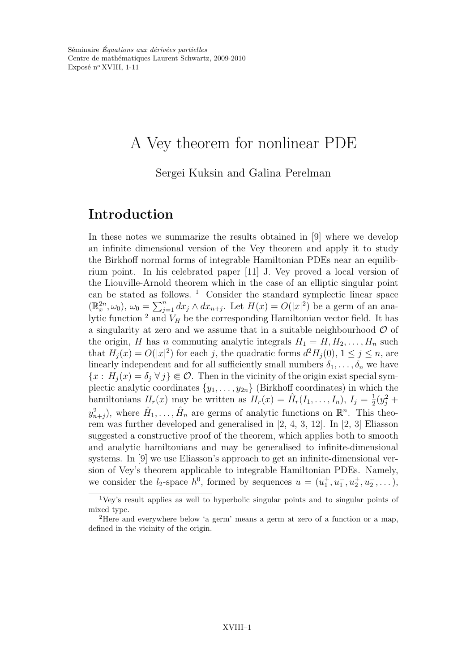# A Vey theorem for nonlinear PDE

Sergei Kuksin and Galina Perelman

## Introduction

In these notes we summarize the results obtained in [9] where we develop an infinite dimensional version of the Vey theorem and apply it to study the Birkhoff normal forms of integrable Hamiltonian PDEs near an equilibrium point. In his celebrated paper [11] J. Vey proved a local version of the Liouville-Arnold theorem which in the case of an elliptic singular point can be stated as follows.  $1$  Consider the standard symplectic linear space  $(\mathbb{R}_x^{2n}, \omega_0)$ ,  $\omega_0 = \sum_{j=1}^n dx_j \wedge dx_{n+j}$ . Let  $H(x) = O(|x|^2)$  be a germ of an analytic function  $^2$  and  $V_H$  be the corresponding Hamiltonian vector field. It has a singularity at zero and we assume that in a suitable neighbourhood  $\mathcal O$  of the origin, H has n commuting analytic integrals  $H_1 = H, H_2, \ldots, H_n$  such that  $H_j(x) = O(|x|^2)$  for each j, the quadratic forms  $d^2H_j(0)$ ,  $1 \le j \le n$ , are linearly independent and for all sufficiently small numbers  $\delta_1, \ldots, \delta_n$  we have  ${x : H_j(x) = \delta_j \,\forall j} \in \mathcal{O}$ . Then in the vicinity of the origin exist special symplectic analytic coordinates  $\{y_1, \ldots, y_{2n}\}\$  (Birkhoff coordinates) in which the hamiltonians  $H_r(x)$  may be written as  $H_r(x) = \hat{H}_r(I_1, \ldots, I_n), I_j = \frac{1}{2}$  $rac{1}{2}(y_j^2 +$  $y_{n+j}^2$ ), where  $\hat{H}_1, \ldots, \hat{H}_n$  are germs of analytic functions on  $\mathbb{R}^n$ . This theorem was further developed and generalised in [2, 4, 3, 12]. In [2, 3] Eliasson suggested a constructive proof of the theorem, which applies both to smooth and analytic hamiltonians and may be generalised to infinite-dimensional systems. In [9] we use Eliasson's approach to get an infinite-dimensional version of Vey's theorem applicable to integrable Hamiltonian PDEs. Namely, we consider the  $l_2$ -space  $h^0$ , formed by sequences  $u = (u_1^+, u_1^-, u_2^+, u_2^-, \dots)$ ,

<sup>&</sup>lt;sup>1</sup>Vey's result applies as well to hyperbolic singular points and to singular points of mixed type.

<sup>2</sup>Here and everywhere below 'a germ' means a germ at zero of a function or a map, defined in the vicinity of the origin.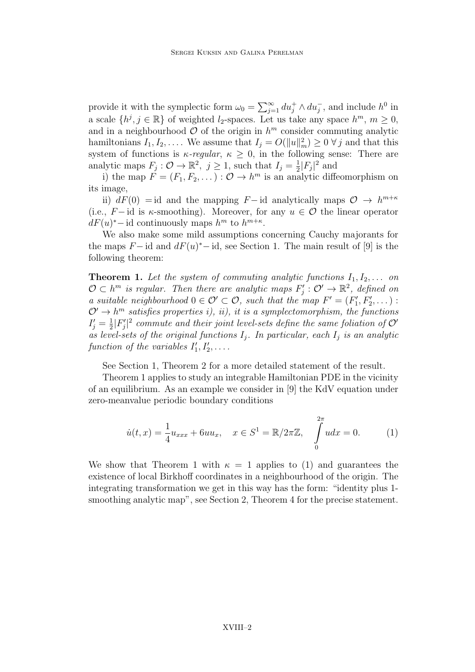provide it with the symplectic form  $\omega_0 = \sum_{j=1}^{\infty} du_j^+ \wedge du_j^-$ , and include  $h^0$  in a scale  $\{h^j, j \in \mathbb{R}\}$  of weighted  $l_2$ -spaces. Let us take any space  $h^m$ ,  $m \geq 0$ , and in a neighbourhood  $\mathcal{O}$  of the origin in  $h^m$  consider commuting analytic hamiltonians  $I_1, I_2, \ldots$ . We assume that  $I_j = O(||u||_m^2) \geq 0 \ \forall j$  and that this system of functions is  $\kappa$ -regular,  $\kappa \geq 0$ , in the following sense: There are analytic maps  $F_j: \mathcal{O} \to \mathbb{R}^2$ ,  $j \geq 1$ , such that  $I_j = \frac{1}{2}$  $\frac{1}{2}|F_j|^2$  and

i) the map  $F = (F_1, F_2, \dots) : \mathcal{O} \to h^m$  is an analytic diffeomorphism on its image,

ii)  $dF(0) = id$  and the mapping  $F-$  id analytically maps  $\mathcal{O} \to h^{m+\kappa}$ (i.e.,  $F-$ id is  $\kappa$ -smoothing). Moreover, for any  $u \in \mathcal{O}$  the linear operator  $dF(u)^*$  – id continuously maps  $h^m$  to  $h^{m+\kappa}$ .

We also make some mild assumptions concerning Cauchy majorants for the maps  $F-\text{id}$  and  $dF(u)^*-\text{id}$ , see Section 1. The main result of [9] is the following theorem:

**Theorem 1.** Let the system of commuting analytic functions  $I_1, I_2, \ldots$  on  $\mathcal{O} \subset h^m$  is regular. Then there are analytic maps  $F'_j : \mathcal{O}' \to \mathbb{R}^2$ , defined on a suitable neighbourhood  $0 \in \mathcal{O}' \subset \mathcal{O}$ , such that the map  $F' = (F'_1, F'_2, \dots)$ :  $\mathcal{O}' \to h^m$  satisfies properties i), ii), it is a symplectomorphism, the functions  $I_j'=\frac{1}{2}$  $\frac{1}{2}|F_j'|^2$  commute and their joint level-sets define the same foliation of  $\mathcal{O}'$ as level-sets of the original functions  $I_i$ . In particular, each  $I_j$  is an analytic function of the variables  $I'_1, I'_2, \ldots$ .

See Section 1, Theorem 2 for a more detailed statement of the result.

Theorem 1 applies to study an integrable Hamiltonian PDE in the vicinity of an equilibrium. As an example we consider in [9] the KdV equation under zero-meanvalue periodic boundary conditions

$$
\dot{u}(t,x) = \frac{1}{4}u_{xxx} + 6uu_x, \quad x \in S^1 = \mathbb{R}/2\pi\mathbb{Z}, \quad \int_{0}^{2\pi} u dx = 0.
$$
 (1)

We show that Theorem 1 with  $\kappa = 1$  applies to (1) and guarantees the existence of local Birkhoff coordinates in a neighbourhood of the origin. The integrating transformation we get in this way has the form: "identity plus 1 smoothing analytic map", see Section 2, Theorem 4 for the precise statement.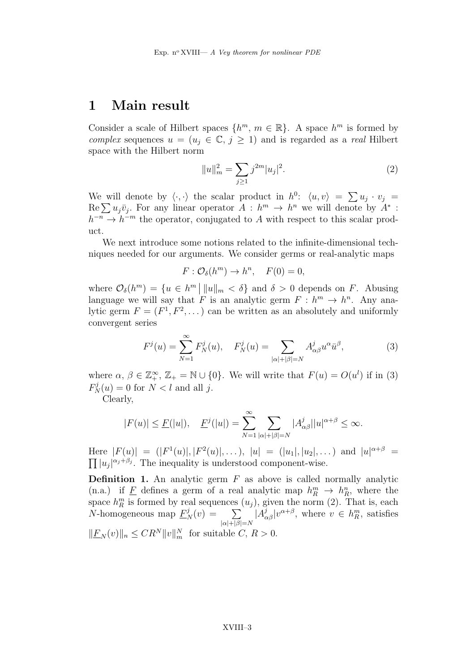### 1 Main result

Consider a scale of Hilbert spaces  $\{h^m, m \in \mathbb{R}\}\.$  A space  $h^m$  is formed by complex sequences  $u = (u_i \in \mathbb{C}, j \geq 1)$  and is regarded as a real Hilbert space with the Hilbert norm

$$
||u||_m^2 = \sum_{j\geq 1} j^{2m} |u_j|^2.
$$
 (2)

We will denote by  $\langle \cdot, \cdot \rangle$  the scalar product in  $h^0$ :  $\langle u, v \rangle = \sum u_j \cdot v_j$  $\text{Re}\sum u_j\bar{v}_j$ . For any linear operator  $A : h^m \to h^n$  we will denote by  $A^*$ :  $h^{-n} \to h^{-m}$  the operator, conjugated to A with respect to this scalar product.

We next introduce some notions related to the infinite-dimensional techniques needed for our arguments. We consider germs or real-analytic maps

$$
F: \mathcal{O}_{\delta}(h^{m}) \to h^{n}, \quad F(0) = 0,
$$

where  $\mathcal{O}_{\delta}(h^m) = \{u \in h^m \mid ||u||_m < \delta\}$  and  $\delta > 0$  depends on F. Abusing language we will say that F is an analytic germ  $F : h^m \to h^n$ . Any analytic germ  $F = (F^1, F^2, \dots)$  can be written as an absolutely and uniformly convergent series

$$
F^{j}(u) = \sum_{N=1}^{\infty} F_{N}^{j}(u), \quad F_{N}^{j}(u) = \sum_{|\alpha|+|\beta|=N} A_{\alpha\beta}^{j} u^{\alpha} \bar{u}^{\beta}, \tag{3}
$$

where  $\alpha, \beta \in \mathbb{Z}_+^{\infty}, \mathbb{Z}_+ = \mathbb{N} \cup \{0\}$ . We will write that  $F(u) = O(u^l)$  if in (3)  $F_N^j(u) = 0$  for  $N < l$  and all j.

Clearly,

$$
|F(u)| \le \underline{F}(|u|), \quad \underline{F}^j(|u|) = \sum_{N=1}^{\infty} \sum_{|\alpha|+|\beta|=N} |A^j_{\alpha\beta}| |u|^{\alpha+\beta} \le \infty.
$$

Here  $|F(u)| = (|F^1(u)|, |F^2(u)|, \ldots), |u| = (|u_1|, |u_2|, \ldots)$  and  $|u|^{\alpha+\beta} =$  $\prod |u_j|^{\alpha_j+\beta_j}$ . The inequality is understood component-wise.

**Definition 1.** An analytic germ  $F$  as above is called normally analytic (n.a.) if  $\underline{F}$  defines a germ of a real analytic map  $h_R^m \to h_R^n$ , where the space  $h_R^m$  is formed by real sequences  $(u_j)$ , given the norm (2). That is, each *N*-homogeneous map  $\underline{F}_N^j(v) = \sum$  $|\alpha|+|\beta|=N$  $|A_{\alpha\beta}^{j}|v^{\alpha+\beta}$ , where  $v \in h_R^m$ , satisfies  $\Vert \underline{F}_N(v) \Vert_n \leq C R^N \Vert v \Vert_m^N$  for suitable  $C, R > 0$ .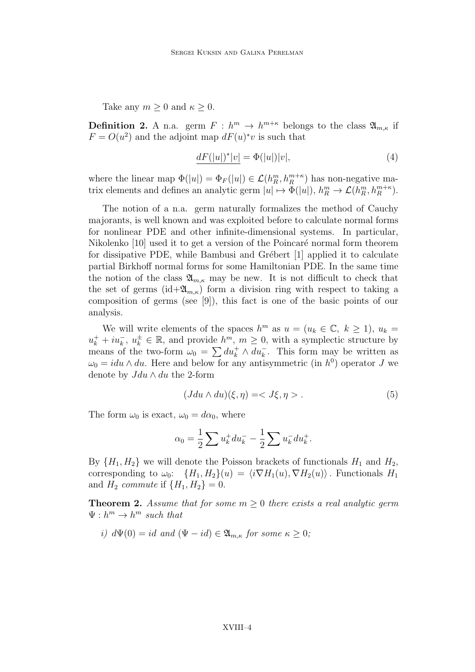Take any  $m \geq 0$  and  $\kappa \geq 0$ .

**Definition 2.** A n.a. germ  $F: h^m \to h^{m+\kappa}$  belongs to the class  $\mathfrak{A}_{m,\kappa}$  if  $F = O(u^2)$  and the adjoint map  $dF(u)^*v$  is such that

$$
\underline{dF(|u|)^*|v|} = \Phi(|u|)|v|,\tag{4}
$$

where the linear map  $\Phi(|u|) = \Phi_F(|u|) \in \mathcal{L}(h_R^m, h_R^{m+\kappa})$  has non-negative matrix elements and defines an analytic germ  $|u| \mapsto \Phi(|u|)$ ,  $h_R^m \to \mathcal{L}(h_R^m, h_R^{m+\kappa})$ .

The notion of a n.a. germ naturally formalizes the method of Cauchy majorants, is well known and was exploited before to calculate normal forms for nonlinear PDE and other infinite-dimensional systems. In particular, Nikolenko  $[10]$  used it to get a version of the Poincaré normal form theorem for dissipative PDE, while Bambusi and Grébert  $[1]$  applied it to calculate partial Birkhoff normal forms for some Hamiltonian PDE. In the same time the notion of the class  $\mathfrak{A}_{m,\kappa}$  may be new. It is not difficult to check that the set of germs (id  $\mathfrak{A}_{m,\kappa}$ ) form a division ring with respect to taking a composition of germs (see [9]), this fact is one of the basic points of our analysis.

We will write elements of the spaces  $h^m$  as  $u = (u_k \in \mathbb{C}, k \ge 1), u_k =$  $u_k^+ + i u_k^-, u_k^{\pm} \in \mathbb{R}$ , and provide  $h^m$ ,  $m \geq 0$ , with a symplectic structure by means of the two-form  $\omega_0 = \sum du_k^+ \wedge du_k^-$ . This form may be written as  $\omega_0 = idu \wedge du$ . Here and below for any antisymmetric (in  $h^0$ ) operator J we denote by  $Jdu \wedge du$  the 2-form

$$
(Jdu \wedge du)(\xi, \eta) = \langle J\xi, \eta \rangle. \tag{5}
$$

The form  $\omega_0$  is exact,  $\omega_0 = d\alpha_0$ , where

$$
\alpha_0 = \frac{1}{2} \sum u_k^+ du_k^- - \frac{1}{2} \sum u_k^- du_k^+.
$$

By  $\{H_1, H_2\}$  we will denote the Poisson brackets of functionals  $H_1$  and  $H_2$ , corresponding to  $\omega_0$ :  $\{H_1, H_2\}(u) = \langle i \nabla H_1(u), \nabla H_2(u) \rangle$ . Functionals  $H_1$ and  $H_2$  commute if  $\{H_1, H_2\} = 0$ .

**Theorem 2.** Assume that for some  $m > 0$  there exists a real analytic germ  $\Psi: h^m \to h^m$  such that

i)  $d\Psi(0) = id$  and  $(\Psi - id) \in \mathfrak{A}_{m,\kappa}$  for some  $\kappa \geq 0$ ;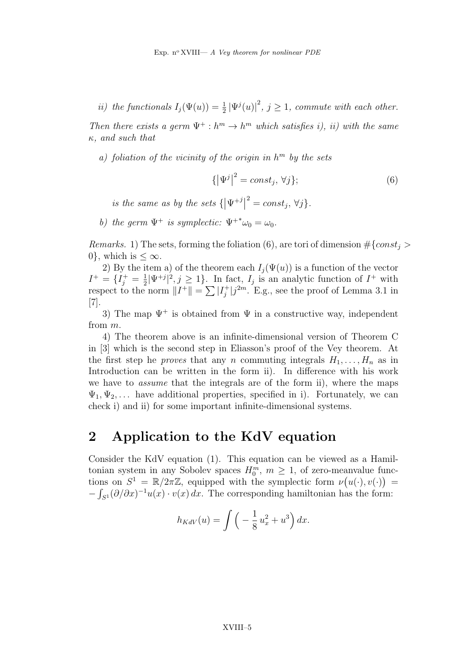ii) the functionals  $I_j(\Psi(u)) = \frac{1}{2} |\Psi^j(u)|^2$ ,  $j \geq 1$ , commute with each other.

Then there exists a germ  $\Psi^+ : h^m \to h^m$  which satisfies i), ii) with the same  $\kappa$ , and such that

a) foliation of the vicinity of the origin in  $h^m$  by the sets

$$
\{ |\Psi^j|^2 = const_j, \forall j \};\tag{6}
$$

is the same as by the sets  $\{\vert\Psi^{+j}\vert^2=const_j,\,\forall j\}.$ 

b) the germ  $\Psi^+$  is symplectic:  $\Psi^{+*}\omega_0 = \omega_0$ .

*Remarks.* 1) The sets, forming the foliation (6), are tori of dimension  $\#\{const_i >$ 0, which is  $\leq \infty$ .

2) By the item a) of the theorem each  $I_i(\Psi(u))$  is a function of the vector  $I^+ = \{I_j^+ = \frac{1}{2}$  $\frac{1}{2}|\Psi^{+j}|^2, j \ge 1$ . In fact,  $I_j$  is an analytic function of  $I^+$  with respect to the norm  $||I^+|| = \sum |I_j^+|$  $j^+|j^{2m}$ . E.g., see the proof of Lemma 3.1 in [7].

3) The map  $\Psi^+$  is obtained from  $\Psi$  in a constructive way, independent from m.

4) The theorem above is an infinite-dimensional version of Theorem C in [3] which is the second step in Eliasson's proof of the Vey theorem. At the first step he *proves* that any n commuting integrals  $H_1, \ldots, H_n$  as in Introduction can be written in the form ii). In difference with his work we have to assume that the integrals are of the form ii), where the maps  $\Psi_1, \Psi_2, \ldots$  have additional properties, specified in i). Fortunately, we can check i) and ii) for some important infinite-dimensional systems.

### 2 Application to the KdV equation

Consider the KdV equation (1). This equation can be viewed as a Hamiltonian system in any Sobolev spaces  $H_0^m$ ,  $m \geq 1$ , of zero-meanvalue functions on  $S^1 = \mathbb{R}/2\pi\mathbb{Z}$ , equipped with the symplectic form  $\nu(u(\cdot), v(\cdot)) =$  $-\int_{S^1} (\partial/\partial x)^{-1} u(x) \cdot v(x) dx$ . The corresponding hamiltonian has the form:

$$
h_{KdV}(u) = \int \left(-\frac{1}{8}u_x^2 + u^3\right) dx.
$$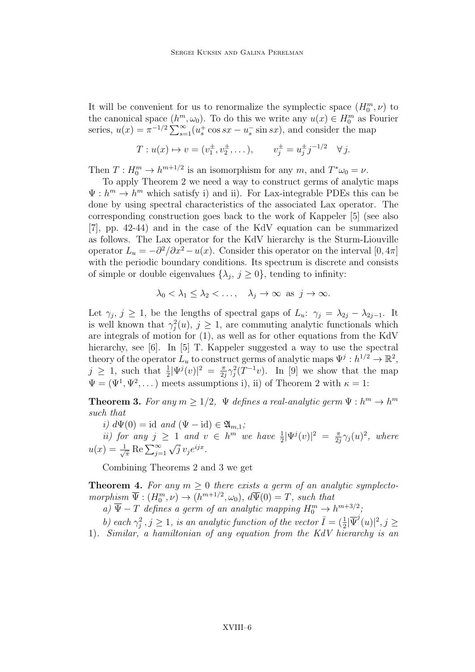It will be convenient for us to renormalize the symplectic space  $(H_0^m, \nu)$  to the canonical space  $(h^m, \omega_0)$ . To do this we write any  $u(x) \in H_0^m$  as Fourier series,  $u(x) = \pi^{-1/2} \sum_{s=1}^{\infty} (u_s^+ \cos sx - u_s^- \sin sx)$ , and consider the map

$$
T: u(x) \mapsto v = (v_1^{\pm}, v_2^{\pm}, \dots), \qquad v_j^{\pm} = u_j^{\pm} j^{-1/2} \quad \forall j.
$$

Then  $T: H_0^m \to h^{m+1/2}$  is an isomorphism for any  $m$ , and  $T^*\omega_0 = \nu$ .

To apply Theorem 2 we need a way to construct germs of analytic maps  $\Psi : h^m \to h^m$  which satisfy i) and ii). For Lax-integrable PDEs this can be done by using spectral characteristics of the associated Lax operator. The corresponding construction goes back to the work of Kappeler [5] (see also [7], pp. 42-44) and in the case of the KdV equation can be summarized as follows. The Lax operator for the KdV hierarchy is the Sturm-Liouville operator  $L_u = -\partial^2/\partial x^2 - u(x)$ . Consider this operator on the interval  $[0, 4\pi]$ with the periodic boundary conditions. Its spectrum is discrete and consists of simple or double eigenvalues  $\{\lambda_j, j \ge 0\}$ , tending to infinity:

$$
\lambda_0 < \lambda_1 \leq \lambda_2 < \ldots
$$
,  $\lambda_j \to \infty$  as  $j \to \infty$ .

Let  $\gamma_j$ ,  $j \geq 1$ , be the lengths of spectral gaps of  $L_u$ :  $\gamma_j = \lambda_{2j} - \lambda_{2j-1}$ . It is well known that  $\gamma_j^2(u)$ ,  $j \geq 1$ , are commuting analytic functionals which are integrals of motion for (1), as well as for other equations from the KdV hierarchy, see [6]. In [5] T. Kappeler suggested a way to use the spectral theory of the operator  $L_u$  to construct germs of analytic maps  $\Psi^j : h^{1/2} \to \mathbb{R}^2$ ,  $j \geq 1$ , such that  $\frac{1}{2} |\Psi^{j}(v)|^{2} = \frac{\pi}{2j}$  $\frac{\pi}{2j}\gamma_j^2(T^{-1}v)$ . In [9] we show that the map  $\Psi = (\Psi^1, \Psi^2, \dots)$  meets assumptions i), ii) of Theorem 2 with  $\kappa = 1$ :

**Theorem 3.** For any  $m \geq 1/2$ ,  $\Psi$  defines a real-analytic germ  $\Psi : h^m \to h^m$ such that

i)  $d\Psi(0) = id$  and  $(\Psi - id) \in \mathfrak{A}_{m,1}$ ;

ii) for any  $j \geq 1$  and  $v \in h^m$  we have  $\frac{1}{2} |\Psi^j(v)|^2 = \frac{\pi}{2}$  $\frac{\pi}{2j}\gamma_j(u)^2$ , where  $u(x) = \frac{1}{\sqrt{\pi}} \operatorname{Re} \sum_{j=1}^{\infty} \sqrt{j} v_j e^{ijx}.$ 

Combining Theorems 2 and 3 we get

**Theorem 4.** For any  $m \geq 0$  there exists a germ of an analytic symplecto $morphism \ \overline{\Psi}: (H_0^m, \nu) \to (h^{m+1/2}, \omega_0), \ d\overline{\Psi}(0) = T, \ such \ that$ 

a)  $\overline{\Psi} - T$  defines a germ of an analytic mapping  $H_0^m \to h^{m+3/2}$ ;

b) each  $\gamma_j^2$ ,  $j \ge 1$ , is an analytic function of the vector  $\overline{I} = (\frac{1}{2}|\overline{\Psi}^j(u)|^2, j \ge 1$ 

1). Similar, a hamiltonian of any equation from the KdV hierarchy is an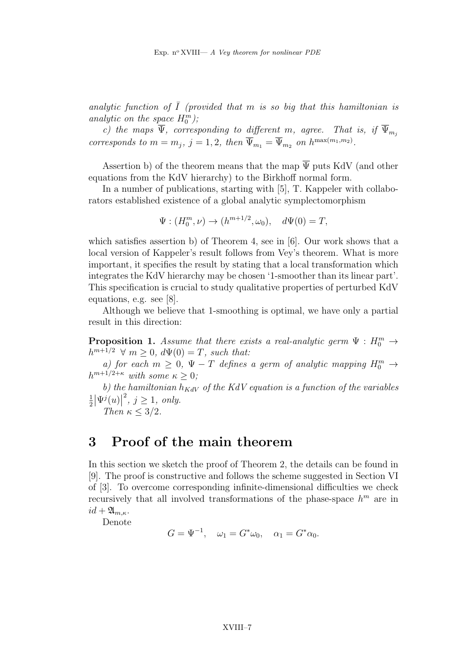analytic function of  $\overline{I}$  (provided that m is so big that this hamiltonian is analytic on the space  $H_0^m$ );  $\mathbf{0}$ 

c) the maps  $\Psi$ , corresponding to different m, agree. That is, if  $\Psi_{m_j}$ corresponds to  $m = m_j$ ,  $j = 1, 2$ , then  $\overline{\Psi}_{m_1} = \overline{\Psi}_{m_2}$  on  $h^{\max(m_1, m_2)}$ .

Assertion b) of the theorem means that the map  $\overline{\Psi}$  puts KdV (and other equations from the KdV hierarchy) to the Birkhoff normal form.

In a number of publications, starting with [5], T. Kappeler with collaborators established existence of a global analytic symplectomorphism

$$
\Psi : (H_0^m, \nu) \to (h^{m+1/2}, \omega_0), \quad d\Psi(0) = T,
$$

which satisfies assertion b) of Theorem 4, see in [6]. Our work shows that a local version of Kappeler's result follows from Vey's theorem. What is more important, it specifies the result by stating that a local transformation which integrates the KdV hierarchy may be chosen '1-smoother than its linear part'. This specification is crucial to study qualitative properties of perturbed KdV equations, e.g. see [8].

Although we believe that 1-smoothing is optimal, we have only a partial result in this direction:

**Proposition 1.** Assume that there exists a real-analytic germ  $\Psi : H_0^m \to$  $h^{m+1/2} \forall m \geq 0, d\Psi(0) = T$ , such that:

a) for each  $m \geq 0$ ,  $\Psi - T$  defines a germ of analytic mapping  $H_0^m \to$  $h^{m+1/2+\kappa}$  with some  $\kappa \geq 0$ ;

b) the hamiltonian  $\overline{h}_{KdV}$  of the KdV equation is a function of the variables 1  $\frac{1}{2}|\Psi^j(u)|^2, j \geq 1, only.$ 

Then  $\kappa \leq 3/2$ .

#### 3 Proof of the main theorem

In this section we sketch the proof of Theorem 2, the details can be found in [9]. The proof is constructive and follows the scheme suggested in Section VI of [3]. To overcome corresponding infinite-dimensional difficulties we check recursively that all involved transformations of the phase-space  $h^m$  are in  $id + \mathfrak{A}_{m,\kappa}.$ 

Denote

$$
G = \Psi^{-1}, \quad \omega_1 = G^* \omega_0, \quad \alpha_1 = G^* \alpha_0.
$$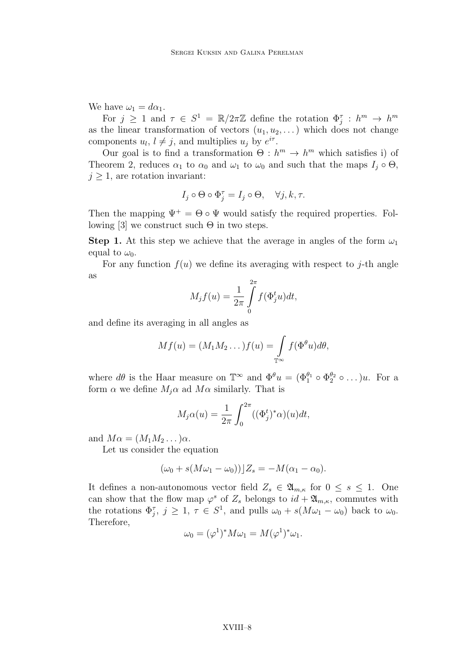We have  $\omega_1 = d\alpha_1$ .

For  $j \geq 1$  and  $\tau \in S^1 = \mathbb{R}/2\pi\mathbb{Z}$  define the rotation  $\Phi_j^{\tau}: h^m \to h^m$ as the linear transformation of vectors  $(u_1, u_2, \dots)$  which does not change components  $u_l, l \neq j$ , and multiplies  $u_j$  by  $e^{i\tau}$ .

Our goal is to find a transformation  $\Theta : h^m \to h^m$  which satisfies i) of Theorem 2, reduces  $\alpha_1$  to  $\alpha_0$  and  $\omega_1$  to  $\omega_0$  and such that the maps  $I_j \circ \Theta$ ,  $j \geq 1$ , are rotation invariant:

$$
I_j\circ\Theta\circ\Phi_j^\tau=I_j\circ\Theta,\quad\forall j,k,\tau.
$$

Then the mapping  $\Psi^+ = \Theta \circ \Psi$  would satisfy the required properties. Following [3] we construct such  $\Theta$  in two steps.

**Step 1.** At this step we achieve that the average in angles of the form  $\omega_1$ equal to  $\omega_0$ .

For any function  $f(u)$  we define its averaging with respect to j-th angle as

$$
M_j f(u) = \frac{1}{2\pi} \int\limits_0^{2\pi} f(\Phi_j^t u) dt,
$$

and define its averaging in all angles as

$$
Mf(u) = (M_1M_2\dots)f(u) = \int_{\mathbb{T}^{\infty}} f(\Phi^{\theta}u)d\theta,
$$

where  $d\theta$  is the Haar measure on  $\mathbb{T}^{\infty}$  and  $\Phi^{\theta} u = (\Phi_1^{\theta_1} \circ \Phi_2^{\theta_2} \circ ...) u$ . For a form  $\alpha$  we define  $M_j \alpha$  ad  $M \alpha$  similarly. That is

$$
M_j \alpha(u) = \frac{1}{2\pi} \int_0^{2\pi} ((\Phi_j^t)^* \alpha)(u) dt,
$$

and  $M\alpha = (M_1M_2\ldots)\alpha$ .

Let us consider the equation

$$
(\omega_0 + s(M\omega_1 - \omega_0))]Z_s = -M(\alpha_1 - \alpha_0).
$$

It defines a non-autonomous vector field  $Z_s \in \mathfrak{A}_{m,\kappa}$  for  $0 \leq s \leq 1$ . One can show that the flow map  $\varphi^s$  of  $Z_s$  belongs to  $id + \mathfrak{A}_{m,\kappa}$ , commutes with the rotations  $\Phi_j^{\tau}$ ,  $j \geq 1$ ,  $\tau \in S^1$ , and pulls  $\omega_0 + s(M\omega_1 - \omega_0)$  back to  $\omega_0$ . Therefore,

$$
\omega_0 = (\varphi^1)^* M \omega_1 = M (\varphi^1)^* \omega_1.
$$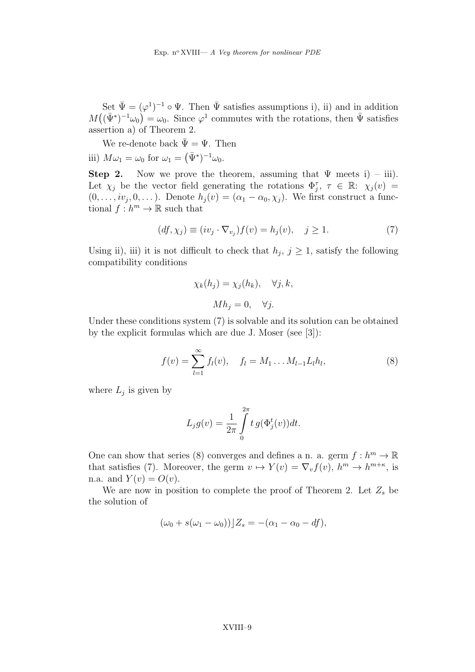Set  $\bar{\Psi} = (\varphi^1)^{-1} \circ \Psi$ . Then  $\bar{\Psi}$  satisfies assumptions i), ii) and in addition  $M((\bar{\Psi}^*)^{-1}\omega_0) = \omega_0$ . Since  $\varphi^1$  commutes with the rotations, then  $\bar{\Psi}$  satisfies assertion a) of Theorem 2.

We re-denote back  $\bar{\Psi} = \Psi$ . Then iii)  $M\omega_1 = \omega_0$  for  $\omega_1 = (\bar{\Psi}^*)^{-1}\omega_0$ .

**Step 2.** Now we prove the theorem, assuming that  $\Psi$  meets i) – iii). Let  $\chi_j$  be the vector field generating the rotations  $\Phi_j^{\tau}$ ,  $\tau \in \mathbb{R}$ :  $\chi_j(v)$  =  $(0, \ldots, i\nu_j, 0, \ldots)$ . Denote  $h_j(v) = (\alpha_1 - \alpha_0, \chi_j)$ . We first construct a functional  $f: h^m \to \mathbb{R}$  such that

$$
(df, \chi_j) \equiv (iv_j \cdot \nabla_{v_j}) f(v) = h_j(v), \quad j \ge 1.
$$
 (7)

Using ii), iii) it is not difficult to check that  $h_j$ ,  $j \geq 1$ , satisfy the following compatibility conditions

$$
\chi_k(h_j) = \chi_j(h_k), \quad \forall j, k,
$$

$$
Mh_j = 0, \quad \forall j.
$$

Under these conditions system (7) is solvable and its solution can be obtained by the explicit formulas which are due J. Moser (see [3]):

$$
f(v) = \sum_{l=1}^{\infty} f_l(v), \quad f_l = M_1 \dots M_{l-1} L_l h_l,
$$
 (8)

where  $L_j$  is given by

$$
L_j g(v) = \frac{1}{2\pi} \int\limits_0^{2\pi} t g(\Phi_j^t(v)) dt.
$$

One can show that series (8) converges and defines a n. a. germ  $f : h^m \to \mathbb{R}$ that satisfies (7). Moreover, the germ  $v \mapsto Y(v) = \nabla_v f(v)$ ,  $h^m \to h^{m+\kappa}$ , is n.a. and  $Y(v) = O(v)$ .

We are now in position to complete the proof of Theorem 2. Let  $Z_s$  be the solution of

$$
(\omega_0 + s(\omega_1 - \omega_0))\big|Z_s = -(\alpha_1 - \alpha_0 - df),
$$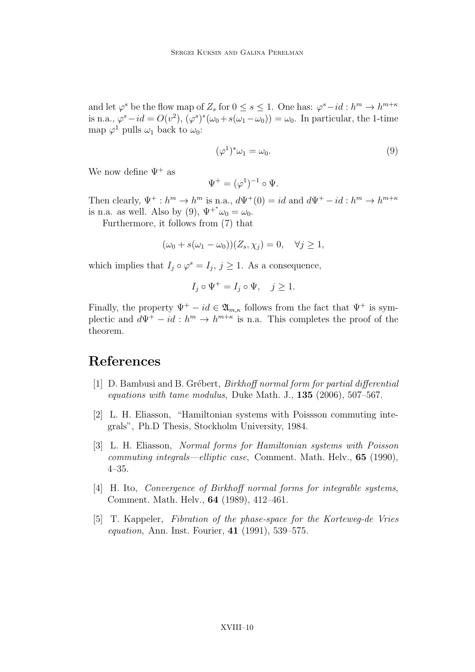and let  $\varphi^s$  be the flow map of  $Z_s$  for  $0 \le s \le 1$ . One has:  $\varphi^s - id : h^m \to h^{m+\kappa}$ is n.a.,  $\varphi^s - id = O(v^2)$ ,  $(\varphi^s)^*(\omega_0 + s(\omega_1 - \omega_0)) = \omega_0$ . In particular, the 1-time map  $\varphi^1$  pulls  $\omega_1$  back to  $\omega_0$ :

$$
(\varphi^1)^*\omega_1 = \omega_0. \tag{9}
$$

We now define  $\Psi^+$  as

$$
\Psi^+ = (\varphi^1)^{-1} \circ \Psi.
$$

Then clearly,  $\Psi^+ : h^m \to h^m$  is n.a.,  $d\Psi^+(0) = id$  and  $d\Psi^+ - id : h^m \to h^{m+\kappa}$ is n.a. as well. Also by (9),  $\Psi^{+*}\omega_0 = \omega_0$ .

Furthermore, it follows from (7) that

$$
(\omega_0 + s(\omega_1 - \omega_0))(Z_s, \chi_j) = 0, \quad \forall j \ge 1,
$$

which implies that  $I_j \circ \varphi^s = I_j$ ,  $j \geq 1$ . As a consequence,

$$
I_j \circ \Psi^+ = I_j \circ \Psi, \quad j \ge 1.
$$

Finally, the property  $\Psi^+ - id \in \mathfrak{A}_{m,\kappa}$  follows from the fact that  $\Psi^+$  is symplectic and  $d\Psi^+ - id : h^m \to h^{m+\kappa}$  is n.a. This completes the proof of the theorem.

#### References

- [1]  $D.$  Bambusi and B. Grébert, *Birkhoff normal form for partial differential* equations with tame modulus, Duke Math. J., 135 (2006), 507–567.
- [2] L. H. Eliasson, "Hamiltonian systems with Poissson commuting integrals", Ph.D Thesis, Stockholm University, 1984.
- [3] L. H. Eliasson, Normal forms for Hamiltonian systems with Poisson commuting integrals—elliptic case, Comment. Math. Helv., 65 (1990), 4–35.
- [4] H. Ito, Convergence of Birkhoff normal forms for integrable systems, Comment. Math. Helv., 64 (1989), 412–461.
- [5] T. Kappeler, Fibration of the phase-space for the Korteweg-de Vries equation, Ann. Inst. Fourier, 41 (1991), 539–575.